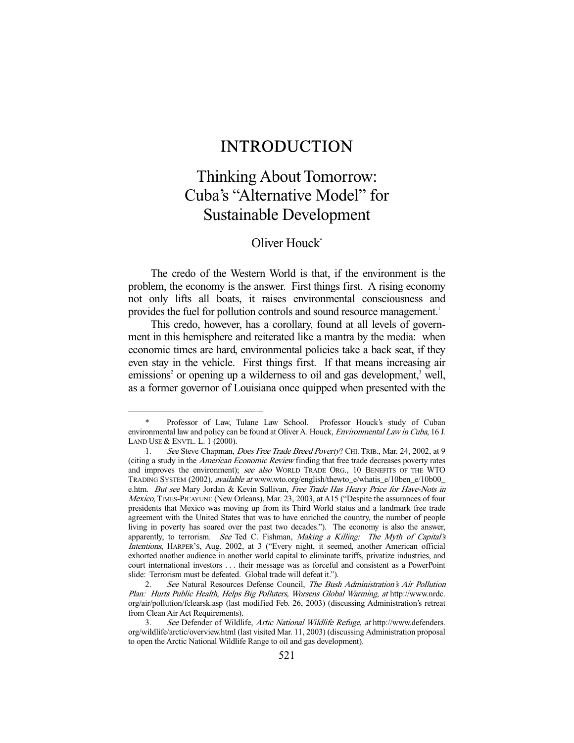## INTRODUCTION

## Thinking About Tomorrow: Cuba's "Alternative Model" for Sustainable Development

## Oliver Houck\*

 The credo of the Western World is that, if the environment is the problem, the economy is the answer. First things first. A rising economy not only lifts all boats, it raises environmental consciousness and provides the fuel for pollution controls and sound resource management.<sup>1</sup>

 This credo, however, has a corollary, found at all levels of government in this hemisphere and reiterated like a mantra by the media: when economic times are hard, environmental policies take a back seat, if they even stay in the vehicle. First things first. If that means increasing air emissions<sup>2</sup> or opening up a wilderness to oil and gas development,<sup>3</sup> well, as a former governor of Louisiana once quipped when presented with the

Professor of Law, Tulane Law School. Professor Houck's study of Cuban environmental law and policy can be found at Oliver A. Houck, *Environmental Law in Cuba*, 16 J. LAND USE & ENVTL. L. 1 (2000).

<sup>1.</sup> See Steve Chapman, *Does Free Trade Breed Poverty*? CHI. TRIB., Mar. 24, 2002, at 9 (citing a study in the American Economic Review finding that free trade decreases poverty rates and improves the environment); see also WORLD TRADE ORG., 10 BENEFITS OF THE WTO TRADING SYSTEM (2002), available at www.wto.org/english/thewto\_e/whatis\_e/10ben\_e/10b00\_ e.htm. But see Mary Jordan & Kevin Sullivan, Free Trade Has Heavy Price for Have-Nots in Mexico, TIMES-PICAYUNE (New Orleans), Mar. 23, 2003, at A15 ("Despite the assurances of four presidents that Mexico was moving up from its Third World status and a landmark free trade agreement with the United States that was to have enriched the country, the number of people living in poverty has soared over the past two decades."). The economy is also the answer, apparently, to terrorism. See Ted C. Fishman, Making a Killing: The Myth of Capital's Intentions, HARPER'S, Aug. 2002, at 3 ("Every night, it seemed, another American official exhorted another audience in another world capital to eliminate tariffs, privatize industries, and court international investors . . . their message was as forceful and consistent as a PowerPoint slide: Terrorism must be defeated. Global trade will defeat it.").

See Natural Resources Defense Council, The Bush Administration's Air Pollution Plan: Hurts Public Health, Helps Big Polluters, Worsens Global Warming, at http://www.nrdc. org/air/pollution/fclearsk.asp (last modified Feb. 26, 2003) (discussing Administration's retreat from Clean Air Act Requirements).

 <sup>3.</sup> See Defender of Wildlife, Artic National Wildlife Refuge, at http://www.defenders. org/wildlife/arctic/overview.html (last visited Mar. 11, 2003) (discussing Administration proposal to open the Arctic National Wildlife Range to oil and gas development).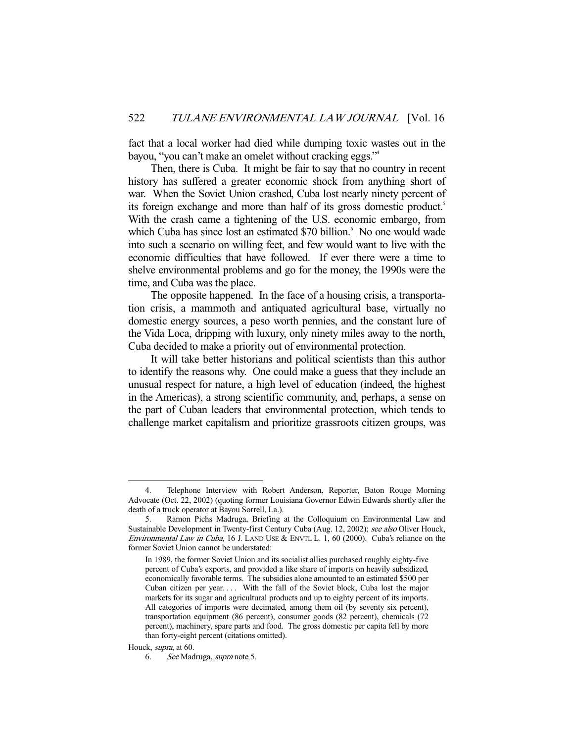fact that a local worker had died while dumping toxic wastes out in the bayou, "you can't make an omelet without cracking eggs."4

 Then, there is Cuba. It might be fair to say that no country in recent history has suffered a greater economic shock from anything short of war. When the Soviet Union crashed, Cuba lost nearly ninety percent of its foreign exchange and more than half of its gross domestic product.<sup>5</sup> With the crash came a tightening of the U.S. economic embargo, from which Cuba has since lost an estimated \$70 billion.<sup>6</sup> No one would wade into such a scenario on willing feet, and few would want to live with the economic difficulties that have followed. If ever there were a time to shelve environmental problems and go for the money, the 1990s were the time, and Cuba was the place.

 The opposite happened. In the face of a housing crisis, a transportation crisis, a mammoth and antiquated agricultural base, virtually no domestic energy sources, a peso worth pennies, and the constant lure of the Vida Loca, dripping with luxury, only ninety miles away to the north, Cuba decided to make a priority out of environmental protection.

 It will take better historians and political scientists than this author to identify the reasons why. One could make a guess that they include an unusual respect for nature, a high level of education (indeed, the highest in the Americas), a strong scientific community, and, perhaps, a sense on the part of Cuban leaders that environmental protection, which tends to challenge market capitalism and prioritize grassroots citizen groups, was

Telephone Interview with Robert Anderson, Reporter, Baton Rouge Morning Advocate (Oct. 22, 2002) (quoting former Louisiana Governor Edwin Edwards shortly after the death of a truck operator at Bayou Sorrell, La.).

 <sup>5.</sup> Ramon Pichs Madruga, Briefing at the Colloquium on Environmental Law and Sustainable Development in Twenty-first Century Cuba (Aug. 12, 2002); see also Oliver Houck, Environmental Law in Cuba, 16 J. LAND USE & ENVTL L. 1, 60 (2000). Cuba's reliance on the former Soviet Union cannot be understated:

In 1989, the former Soviet Union and its socialist allies purchased roughly eighty-five percent of Cuba's exports, and provided a like share of imports on heavily subsidized, economically favorable terms. The subsidies alone amounted to an estimated \$500 per Cuban citizen per year. . . . With the fall of the Soviet block, Cuba lost the major markets for its sugar and agricultural products and up to eighty percent of its imports. All categories of imports were decimated, among them oil (by seventy six percent), transportation equipment (86 percent), consumer goods (82 percent), chemicals (72 percent), machinery, spare parts and food. The gross domestic per capita fell by more than forty-eight percent (citations omitted).

Houck, supra, at 60.

 <sup>6.</sup> See Madruga, supra note 5.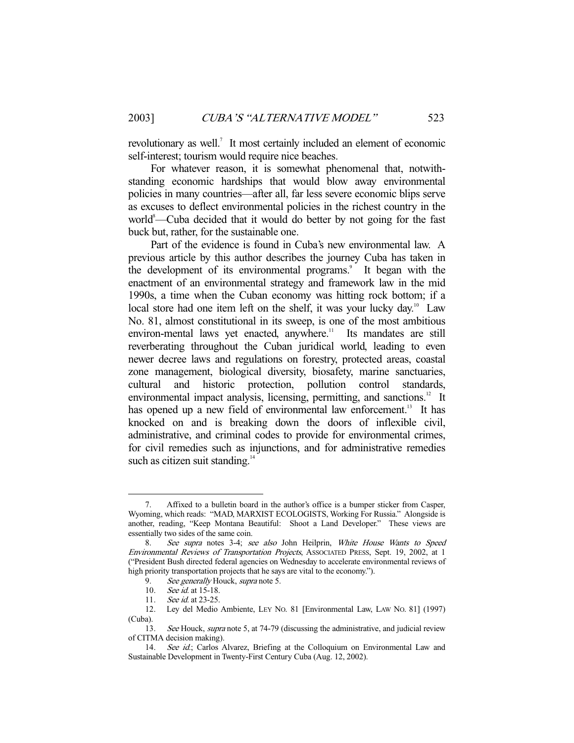revolutionary as well.<sup>7</sup> It most certainly included an element of economic self-interest; tourism would require nice beaches.

 For whatever reason, it is somewhat phenomenal that, notwithstanding economic hardships that would blow away environmental policies in many countries—after all, far less severe economic blips serve as excuses to deflect environmental policies in the richest country in the world<sup>8</sup>—Cuba decided that it would do better by not going for the fast buck but, rather, for the sustainable one.

 Part of the evidence is found in Cuba's new environmental law. A previous article by this author describes the journey Cuba has taken in the development of its environmental programs.<sup>9</sup> It began with the enactment of an environmental strategy and framework law in the mid 1990s, a time when the Cuban economy was hitting rock bottom; if a local store had one item left on the shelf, it was your lucky day.<sup>10</sup> Law No. 81, almost constitutional in its sweep, is one of the most ambitious environ-mental laws yet enacted, anywhere.<sup>11</sup> Its mandates are still reverberating throughout the Cuban juridical world, leading to even newer decree laws and regulations on forestry, protected areas, coastal zone management, biological diversity, biosafety, marine sanctuaries, cultural and historic protection, pollution control standards, environmental impact analysis, licensing, permitting, and sanctions.<sup>12</sup> It has opened up a new field of environmental law enforcement.<sup>13</sup> It has knocked on and is breaking down the doors of inflexible civil, administrative, and criminal codes to provide for environmental crimes, for civil remedies such as injunctions, and for administrative remedies such as citizen suit standing. $14$ 

 <sup>7.</sup> Affixed to a bulletin board in the author's office is a bumper sticker from Casper, Wyoming, which reads: "MAD, MARXIST ECOLOGISTS, Working For Russia." Alongside is another, reading, "Keep Montana Beautiful: Shoot a Land Developer." These views are essentially two sides of the same coin.

 <sup>8.</sup> See supra notes 3-4; see also John Heilprin, White House Wants to Speed Environmental Reviews of Transportation Projects, ASSOCIATED PRESS, Sept. 19, 2002, at 1 ("President Bush directed federal agencies on Wednesday to accelerate environmental reviews of high priority transportation projects that he says are vital to the economy.").

<sup>9.</sup> See generally Houck, supra note 5.

 <sup>10.</sup> See id. at 15-18.

 <sup>11.</sup> See id. at 23-25.

 <sup>12.</sup> Ley del Medio Ambiente, LEY NO. 81 [Environmental Law, LAW NO. 81] (1997) (Cuba).

<sup>13.</sup> See Houck, supra note 5, at 74-79 (discussing the administrative, and judicial review of CITMA decision making).

<sup>14.</sup> See id.; Carlos Alvarez, Briefing at the Colloquium on Environmental Law and Sustainable Development in Twenty-First Century Cuba (Aug. 12, 2002).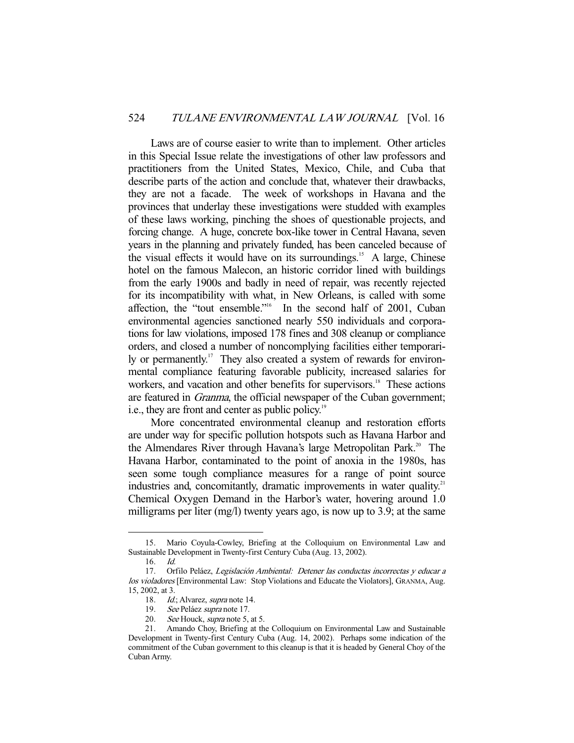Laws are of course easier to write than to implement. Other articles in this Special Issue relate the investigations of other law professors and practitioners from the United States, Mexico, Chile, and Cuba that describe parts of the action and conclude that, whatever their drawbacks, they are not a facade. The week of workshops in Havana and the provinces that underlay these investigations were studded with examples of these laws working, pinching the shoes of questionable projects, and forcing change. A huge, concrete box-like tower in Central Havana, seven years in the planning and privately funded, has been canceled because of the visual effects it would have on its surroundings.<sup>15</sup> A large, Chinese hotel on the famous Malecon, an historic corridor lined with buildings from the early 1900s and badly in need of repair, was recently rejected for its incompatibility with what, in New Orleans, is called with some affection, the "tout ensemble."<sup>16</sup> In the second half of 2001, Cuban environmental agencies sanctioned nearly 550 individuals and corporations for law violations, imposed 178 fines and 308 cleanup or compliance orders, and closed a number of noncomplying facilities either temporarily or permanently.<sup>17</sup> They also created a system of rewards for environmental compliance featuring favorable publicity, increased salaries for workers, and vacation and other benefits for supervisors.<sup>18</sup> These actions are featured in Granma, the official newspaper of the Cuban government; i.e., they are front and center as public policy.<sup>19</sup>

 More concentrated environmental cleanup and restoration efforts are under way for specific pollution hotspots such as Havana Harbor and the Almendares River through Havana's large Metropolitan Park.<sup>20</sup> The Havana Harbor, contaminated to the point of anoxia in the 1980s, has seen some tough compliance measures for a range of point source industries and, concomitantly, dramatic improvements in water quality.<sup>21</sup> Chemical Oxygen Demand in the Harbor's water, hovering around 1.0 milligrams per liter (mg/l) twenty years ago, is now up to 3.9; at the same

 <sup>15.</sup> Mario Coyula-Cowley, Briefing at the Colloquium on Environmental Law and Sustainable Development in Twenty-first Century Cuba (Aug. 13, 2002).

 <sup>16.</sup> Id.

 <sup>17.</sup> Orfilo Peláez, Legislación Ambiental: Detener las conductas incorrectas y educar a los violadores [Environmental Law: Stop Violations and Educate the Violators], GRANMA, Aug. 15, 2002, at 3.

<sup>18.</sup> *Id.*; Alvarez, *supra* note 14.

 <sup>19.</sup> See Peláez supra note 17.

<sup>20.</sup> See Houck, supra note 5, at 5.

 <sup>21.</sup> Amando Choy, Briefing at the Colloquium on Environmental Law and Sustainable Development in Twenty-first Century Cuba (Aug. 14, 2002). Perhaps some indication of the commitment of the Cuban government to this cleanup is that it is headed by General Choy of the Cuban Army.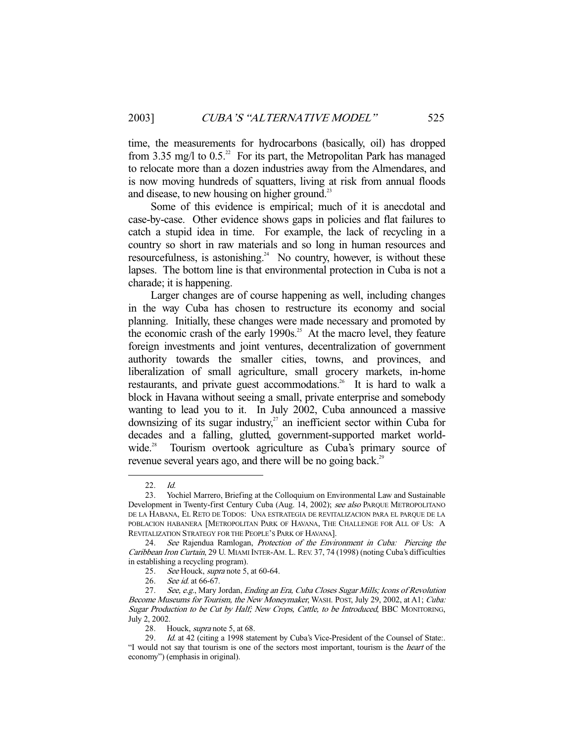time, the measurements for hydrocarbons (basically, oil) has dropped from 3.35 mg/l to  $0.5<sup>22</sup>$  For its part, the Metropolitan Park has managed to relocate more than a dozen industries away from the Almendares, and is now moving hundreds of squatters, living at risk from annual floods and disease, to new housing on higher ground.<sup>23</sup>

 Some of this evidence is empirical; much of it is anecdotal and case-by-case. Other evidence shows gaps in policies and flat failures to catch a stupid idea in time. For example, the lack of recycling in a country so short in raw materials and so long in human resources and resourcefulness, is astonishing. $24$  No country, however, is without these lapses. The bottom line is that environmental protection in Cuba is not a charade; it is happening.

 Larger changes are of course happening as well, including changes in the way Cuba has chosen to restructure its economy and social planning. Initially, these changes were made necessary and promoted by the economic crash of the early  $1990s$ <sup>25</sup> At the macro level, they feature foreign investments and joint ventures, decentralization of government authority towards the smaller cities, towns, and provinces, and liberalization of small agriculture, small grocery markets, in-home restaurants, and private guest accommodations.<sup>26</sup> It is hard to walk a block in Havana without seeing a small, private enterprise and somebody wanting to lead you to it. In July 2002, Cuba announced a massive downsizing of its sugar industry, $2^7$  an inefficient sector within Cuba for decades and a falling, glutted, government-supported market worldwide.<sup>28</sup> Tourism overtook agriculture as Cuba's primary source of revenue several years ago, and there will be no going back.<sup>29</sup>

 <sup>22.</sup> Id.

 <sup>23.</sup> Yochiel Marrero, Briefing at the Colloquium on Environmental Law and Sustainable Development in Twenty-first Century Cuba (Aug. 14, 2002); see also PARQUE METROPOLITANO DE LA HABANA, EL RETO DE TODOS: UNA ESTRATEGIA DE REVITALIZACION PARA EL PARQUE DE LA POBLACION HABANERA [METROPOLITAN PARK OF HAVANA, THE CHALLENGE FOR ALL OF US: A REVITALIZATION STRATEGY FOR THE PEOPLE'S PARK OF HAVANA].

 <sup>24.</sup> See Rajendua Ramlogan, Protection of the Environment in Cuba: Piercing the Caribbean Iron Curtain, 29 U. MIAMI INTER-AM. L. REV. 37, 74 (1998) (noting Cuba's difficulties in establishing a recycling program).

<sup>25.</sup> See Houck, *supra* note 5, at 60-64.

 <sup>26.</sup> See id. at 66-67.

 <sup>27.</sup> See, e.g., Mary Jordan, Ending an Era, Cuba Closes Sugar Mills; Icons of Revolution Become Museums for Tourism, the New Moneymaker, WASH. POST, July 29, 2002, at A1; Cuba: Sugar Production to be Cut by Half; New Crops, Cattle, to be Introduced, BBC MONITORING, July 2, 2002.

<sup>28.</sup> Houck, *supra* note 5, at 68.

 <sup>29.</sup> Id. at 42 (citing a 1998 statement by Cuba's Vice-President of the Counsel of State:. "I would not say that tourism is one of the sectors most important, tourism is the *heart* of the economy") (emphasis in original).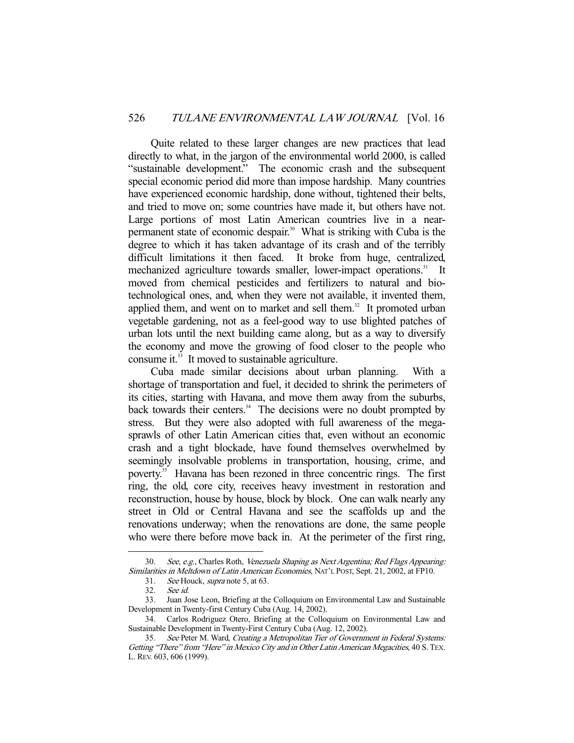Quite related to these larger changes are new practices that lead directly to what, in the jargon of the environmental world 2000, is called "sustainable development." The economic crash and the subsequent special economic period did more than impose hardship. Many countries have experienced economic hardship, done without, tightened their belts, and tried to move on; some countries have made it, but others have not. Large portions of most Latin American countries live in a nearpermanent state of economic despair.30 What is striking with Cuba is the degree to which it has taken advantage of its crash and of the terribly difficult limitations it then faced. It broke from huge, centralized, mechanized agriculture towards smaller, lower-impact operations.<sup>31</sup> It moved from chemical pesticides and fertilizers to natural and biotechnological ones, and, when they were not available, it invented them, applied them, and went on to market and sell them.<sup>32</sup> It promoted urban vegetable gardening, not as a feel-good way to use blighted patches of urban lots until the next building came along, but as a way to diversify the economy and move the growing of food closer to the people who consume it.<sup>33</sup> It moved to sustainable agriculture.

 Cuba made similar decisions about urban planning. With a shortage of transportation and fuel, it decided to shrink the perimeters of its cities, starting with Havana, and move them away from the suburbs, back towards their centers.<sup>34</sup> The decisions were no doubt prompted by stress. But they were also adopted with full awareness of the megasprawls of other Latin American cities that, even without an economic crash and a tight blockade, have found themselves overwhelmed by seemingly insolvable problems in transportation, housing, crime, and poverty.<sup>35</sup> Havana has been rezoned in three concentric rings. The first ring, the old, core city, receives heavy investment in restoration and reconstruction, house by house, block by block. One can walk nearly any street in Old or Central Havana and see the scaffolds up and the renovations underway; when the renovations are done, the same people who were there before move back in. At the perimeter of the first ring,

<sup>30.</sup> See, e.g., Charles Roth, Venezuela Shaping as Next Argentina; Red Flags Appearing: Similarities in Meltdown of Latin American Economies, NAT'L POST, Sept. 21, 2002, at FP10.

 <sup>31.</sup> See Houck, supra note 5, at 63.

 <sup>32.</sup> See id.

 <sup>33.</sup> Juan Jose Leon, Briefing at the Colloquium on Environmental Law and Sustainable Development in Twenty-first Century Cuba (Aug. 14, 2002).

 <sup>34.</sup> Carlos Rodriguez Otero, Briefing at the Colloquium on Environmental Law and Sustainable Development in Twenty-First Century Cuba (Aug. 12, 2002).

 <sup>35.</sup> See Peter M. Ward, Creating a Metropolitan Tier of Government in Federal Systems: Getting "There" from "Here" in Mexico City and in Other Latin American Megacities, 40 S. TEX. L. REV. 603, 606 (1999).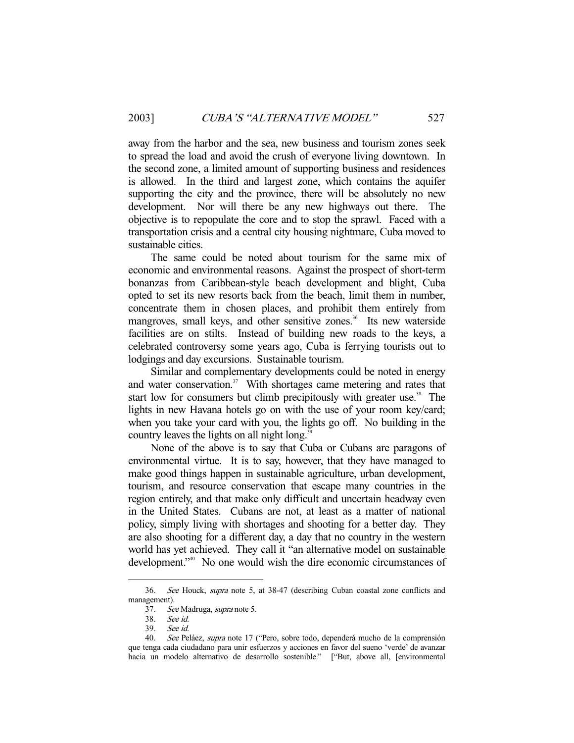away from the harbor and the sea, new business and tourism zones seek to spread the load and avoid the crush of everyone living downtown. In the second zone, a limited amount of supporting business and residences is allowed. In the third and largest zone, which contains the aquifer supporting the city and the province, there will be absolutely no new development. Nor will there be any new highways out there. The objective is to repopulate the core and to stop the sprawl. Faced with a transportation crisis and a central city housing nightmare, Cuba moved to sustainable cities.

 The same could be noted about tourism for the same mix of economic and environmental reasons. Against the prospect of short-term bonanzas from Caribbean-style beach development and blight, Cuba opted to set its new resorts back from the beach, limit them in number, concentrate them in chosen places, and prohibit them entirely from mangroves, small keys, and other sensitive zones.<sup>36</sup> Its new waterside facilities are on stilts. Instead of building new roads to the keys, a celebrated controversy some years ago, Cuba is ferrying tourists out to lodgings and day excursions. Sustainable tourism.

 Similar and complementary developments could be noted in energy and water conservation.<sup>37</sup> With shortages came metering and rates that start low for consumers but climb precipitously with greater use.<sup>38</sup> The lights in new Havana hotels go on with the use of your room key/card; when you take your card with you, the lights go off. No building in the country leaves the lights on all night long.<sup>3</sup>

 None of the above is to say that Cuba or Cubans are paragons of environmental virtue. It is to say, however, that they have managed to make good things happen in sustainable agriculture, urban development, tourism, and resource conservation that escape many countries in the region entirely, and that make only difficult and uncertain headway even in the United States. Cubans are not, at least as a matter of national policy, simply living with shortages and shooting for a better day. They are also shooting for a different day, a day that no country in the western world has yet achieved. They call it "an alternative model on sustainable development."40 No one would wish the dire economic circumstances of

 <sup>36.</sup> See Houck, supra note 5, at 38-47 (describing Cuban coastal zone conflicts and management).

 <sup>37.</sup> See Madruga, supra note 5.

 <sup>38.</sup> See id.

 <sup>39.</sup> See id.

<sup>40.</sup> See Peláez, supra note 17 ("Pero, sobre todo, dependerá mucho de la comprensión que tenga cada ciudadano para unir esfuerzos y acciones en favor del sueno 'verde' de avanzar hacia un modelo alternativo de desarrollo sostenible." ["But, above all, [environmental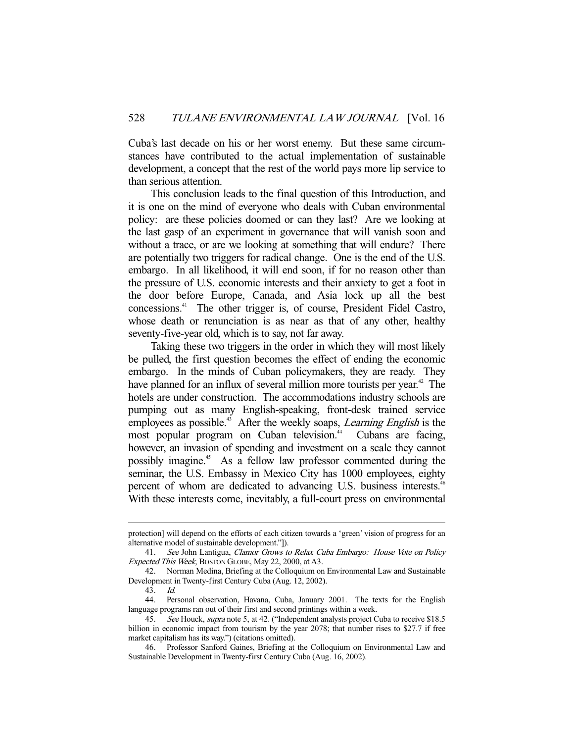Cuba's last decade on his or her worst enemy. But these same circumstances have contributed to the actual implementation of sustainable development, a concept that the rest of the world pays more lip service to than serious attention.

 This conclusion leads to the final question of this Introduction, and it is one on the mind of everyone who deals with Cuban environmental policy: are these policies doomed or can they last? Are we looking at the last gasp of an experiment in governance that will vanish soon and without a trace, or are we looking at something that will endure? There are potentially two triggers for radical change. One is the end of the U.S. embargo. In all likelihood, it will end soon, if for no reason other than the pressure of U.S. economic interests and their anxiety to get a foot in the door before Europe, Canada, and Asia lock up all the best concessions.41 The other trigger is, of course, President Fidel Castro, whose death or renunciation is as near as that of any other, healthy seventy-five-year old, which is to say, not far away.

 Taking these two triggers in the order in which they will most likely be pulled, the first question becomes the effect of ending the economic embargo. In the minds of Cuban policymakers, they are ready. They have planned for an influx of several million more tourists per year.<sup>42</sup> The hotels are under construction. The accommodations industry schools are pumping out as many English-speaking, front-desk trained service employees as possible.<sup>43</sup> After the weekly soaps, *Learning English* is the most popular program on Cuban television.<sup>44</sup> Cubans are facing, however, an invasion of spending and investment on a scale they cannot possibly imagine.<sup>45</sup> As a fellow law professor commented during the seminar, the U.S. Embassy in Mexico City has 1000 employees, eighty percent of whom are dedicated to advancing U.S. business interests.<sup>46</sup> With these interests come, inevitably, a full-court press on environmental

protection] will depend on the efforts of each citizen towards a 'green' vision of progress for an alternative model of sustainable development."]).

<sup>41.</sup> See John Lantigua, Clamor Grows to Relax Cuba Embargo: House Vote on Policy Expected This Week, BOSTON GLOBE, May 22, 2000, at A3.

 <sup>42.</sup> Norman Medina, Briefing at the Colloquium on Environmental Law and Sustainable Development in Twenty-first Century Cuba (Aug. 12, 2002).

 <sup>43.</sup> Id.

 <sup>44.</sup> Personal observation, Havana, Cuba, January 2001. The texts for the English language programs ran out of their first and second printings within a week.

<sup>45.</sup> See Houck, supra note 5, at 42. ("Independent analysts project Cuba to receive \$18.5 billion in economic impact from tourism by the year 2078; that number rises to \$27.7 if free market capitalism has its way.") (citations omitted).

 <sup>46.</sup> Professor Sanford Gaines, Briefing at the Colloquium on Environmental Law and Sustainable Development in Twenty-first Century Cuba (Aug. 16, 2002).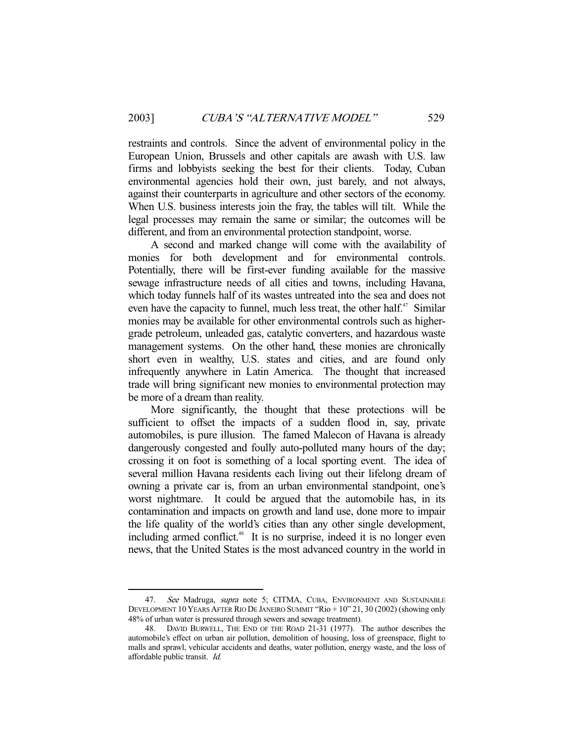restraints and controls. Since the advent of environmental policy in the European Union, Brussels and other capitals are awash with U.S. law firms and lobbyists seeking the best for their clients. Today, Cuban environmental agencies hold their own, just barely, and not always, against their counterparts in agriculture and other sectors of the economy. When U.S. business interests join the fray, the tables will tilt. While the legal processes may remain the same or similar; the outcomes will be different, and from an environmental protection standpoint, worse.

 A second and marked change will come with the availability of monies for both development and for environmental controls. Potentially, there will be first-ever funding available for the massive sewage infrastructure needs of all cities and towns, including Havana, which today funnels half of its wastes untreated into the sea and does not even have the capacity to funnel, much less treat, the other half.<sup>47</sup> Similar monies may be available for other environmental controls such as highergrade petroleum, unleaded gas, catalytic converters, and hazardous waste management systems. On the other hand, these monies are chronically short even in wealthy, U.S. states and cities, and are found only infrequently anywhere in Latin America. The thought that increased trade will bring significant new monies to environmental protection may be more of a dream than reality.

 More significantly, the thought that these protections will be sufficient to offset the impacts of a sudden flood in, say, private automobiles, is pure illusion. The famed Malecon of Havana is already dangerously congested and foully auto-polluted many hours of the day; crossing it on foot is something of a local sporting event. The idea of several million Havana residents each living out their lifelong dream of owning a private car is, from an urban environmental standpoint, one's worst nightmare. It could be argued that the automobile has, in its contamination and impacts on growth and land use, done more to impair the life quality of the world's cities than any other single development, including armed conflict.<sup>48</sup> It is no surprise, indeed it is no longer even news, that the United States is the most advanced country in the world in

<sup>47.</sup> See Madruga, supra note 5; CITMA, CUBA, ENVIRONMENT AND SUSTAINABLE DEVELOPMENT 10 YEARS AFTER RIO DE JANEIRO SUMMIT "Rio + 10" 21, 30 (2002) (showing only 48% of urban water is pressured through sewers and sewage treatment).

 <sup>48.</sup> DAVID BURWELL, THE END OF THE ROAD 21-31 (1977). The author describes the automobile's effect on urban air pollution, demolition of housing, loss of greenspace, flight to malls and sprawl, vehicular accidents and deaths, water pollution, energy waste, and the loss of affordable public transit. Id.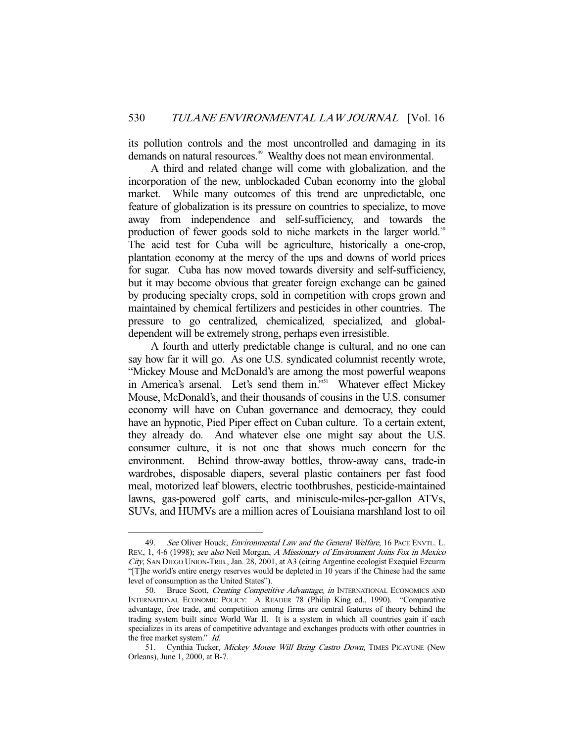its pollution controls and the most uncontrolled and damaging in its demands on natural resources.<sup>49</sup> Wealthy does not mean environmental.

 A third and related change will come with globalization, and the incorporation of the new, unblockaded Cuban economy into the global market. While many outcomes of this trend are unpredictable, one feature of globalization is its pressure on countries to specialize, to move away from independence and self-sufficiency, and towards the production of fewer goods sold to niche markets in the larger world.<sup>50</sup> The acid test for Cuba will be agriculture, historically a one-crop, plantation economy at the mercy of the ups and downs of world prices for sugar. Cuba has now moved towards diversity and self-sufficiency, but it may become obvious that greater foreign exchange can be gained by producing specialty crops, sold in competition with crops grown and maintained by chemical fertilizers and pesticides in other countries. The pressure to go centralized, chemicalized, specialized, and globaldependent will be extremely strong, perhaps even irresistible.

 A fourth and utterly predictable change is cultural, and no one can say how far it will go. As one U.S. syndicated columnist recently wrote, "Mickey Mouse and McDonald's are among the most powerful weapons in America's arsenal. Let's send them in."<sup>551</sup> Whatever effect Mickey Mouse, McDonald's, and their thousands of cousins in the U.S. consumer economy will have on Cuban governance and democracy, they could have an hypnotic, Pied Piper effect on Cuban culture. To a certain extent, they already do. And whatever else one might say about the U.S. consumer culture, it is not one that shows much concern for the environment. Behind throw-away bottles, throw-away cans, trade-in wardrobes, disposable diapers, several plastic containers per fast food meal, motorized leaf blowers, electric toothbrushes, pesticide-maintained lawns, gas-powered golf carts, and miniscule-miles-per-gallon ATVs, SUVs, and HUMVs are a million acres of Louisiana marshland lost to oil

<sup>49.</sup> See Oliver Houck, *Environmental Law and the General Welfare*, 16 PACE ENVTL, L. REV., 1, 4-6 (1998); see also Neil Morgan, A Missionary of Environment Joins Fox in Mexico City, SAN DIEGO UNION-TRIB., Jan. 28, 2001, at A3 (citing Argentine ecologist Exequiel Ezcurra "[T]he world's entire energy reserves would be depleted in 10 years if the Chinese had the same level of consumption as the United States").

<sup>50.</sup> Bruce Scott, Creating Competitive Advantage, in INTERNATIONAL ECONOMICS AND INTERNATIONAL ECONOMIC POLICY: A READER 78 (Philip King ed., 1990). "Comparative advantage, free trade, and competition among firms are central features of theory behind the trading system built since World War II. It is a system in which all countries gain if each specializes in its areas of competitive advantage and exchanges products with other countries in the free market system." Id.

<sup>51.</sup> Cynthia Tucker, Mickey Mouse Will Bring Castro Down, TIMES PICAYUNE (New Orleans), June 1, 2000, at B-7.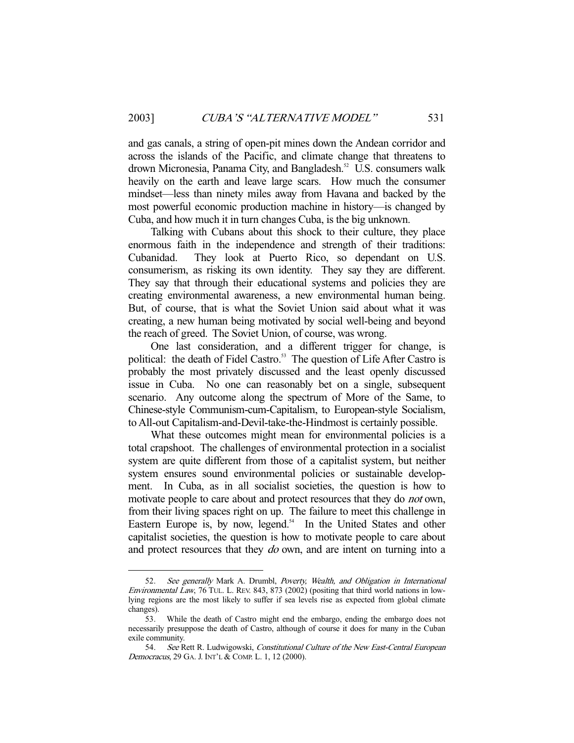and gas canals, a string of open-pit mines down the Andean corridor and across the islands of the Pacific, and climate change that threatens to drown Micronesia, Panama City, and Bangladesh.<sup>52</sup> U.S. consumers walk heavily on the earth and leave large scars. How much the consumer mindset—less than ninety miles away from Havana and backed by the most powerful economic production machine in history—is changed by Cuba, and how much it in turn changes Cuba, is the big unknown.

 Talking with Cubans about this shock to their culture, they place enormous faith in the independence and strength of their traditions: Cubanidad. They look at Puerto Rico, so dependant on U.S. consumerism, as risking its own identity. They say they are different. They say that through their educational systems and policies they are creating environmental awareness, a new environmental human being. But, of course, that is what the Soviet Union said about what it was creating, a new human being motivated by social well-being and beyond the reach of greed. The Soviet Union, of course, was wrong.

 One last consideration, and a different trigger for change, is political: the death of Fidel Castro.<sup>53</sup> The question of Life After Castro is probably the most privately discussed and the least openly discussed issue in Cuba. No one can reasonably bet on a single, subsequent scenario. Any outcome along the spectrum of More of the Same, to Chinese-style Communism-cum-Capitalism, to European-style Socialism, to All-out Capitalism-and-Devil-take-the-Hindmost is certainly possible.

 What these outcomes might mean for environmental policies is a total crapshoot. The challenges of environmental protection in a socialist system are quite different from those of a capitalist system, but neither system ensures sound environmental policies or sustainable development. In Cuba, as in all socialist societies, the question is how to motivate people to care about and protect resources that they do *not* own, from their living spaces right on up. The failure to meet this challenge in Eastern Europe is, by now, legend.<sup>54</sup> In the United States and other capitalist societies, the question is how to motivate people to care about and protect resources that they *do* own, and are intent on turning into a

<sup>52.</sup> See generally Mark A. Drumbl, Poverty, Wealth, and Obligation in International Environmental Law, 76 TUL. L. REV. 843, 873 (2002) (positing that third world nations in lowlying regions are the most likely to suffer if sea levels rise as expected from global climate changes).

 <sup>53.</sup> While the death of Castro might end the embargo, ending the embargo does not necessarily presuppose the death of Castro, although of course it does for many in the Cuban exile community.

<sup>54.</sup> See Rett R. Ludwigowski, Constitutional Culture of the New East-Central European Democracus, 29 GA. J. INT'L & COMP. L. 1, 12 (2000).